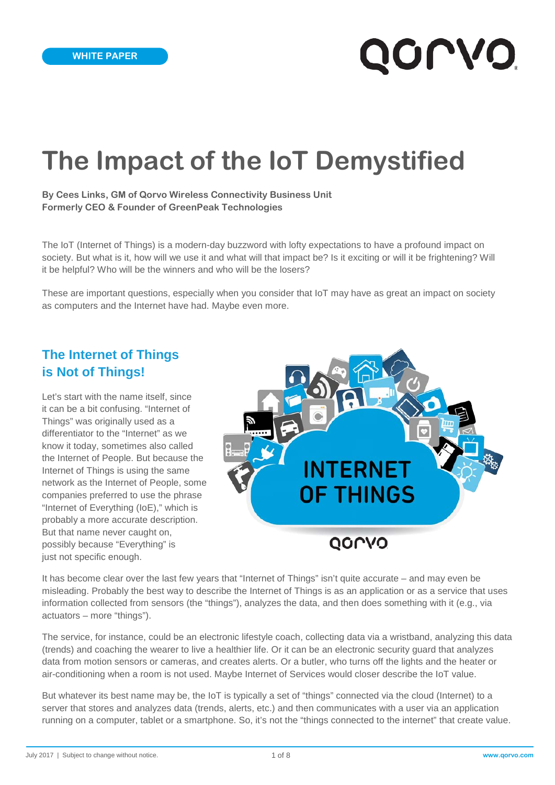# **The Impact of the IoT Demystified**

**By Cees Links, GM of Qorvo Wireless Connectivity Business Unit Formerly CEO & Founder of GreenPeak Technologies**

The IoT (Internet of Things) is a modern-day buzzword with lofty expectations to have a profound impact on society. But what is it, how will we use it and what will that impact be? Is it exciting or will it be frightening? Will it be helpful? Who will be the winners and who will be the losers?

These are important questions, especially when you consider that IoT may have as great an impact on society as computers and the Internet have had. Maybe even more.

# **The Internet of Things is Not of Things!**

Let's start with the name itself, since it can be a bit confusing. "Internet of Things" was originally used as a differentiator to the "Internet" as we know it today, sometimes also called the Internet of People. But because the Internet of Things is using the same network as the Internet of People, some companies preferred to use the phrase "Internet of Everything (IoE)," which is probably a more accurate description. But that name never caught on, possibly because "Everything" is just not specific enough.



It has become clear over the last few years that "Internet of Things" isn't quite accurate – and may even be misleading. Probably the best way to describe the Internet of Things is as an application or as a service that uses information collected from sensors (the "things"), analyzes the data, and then does something with it (e.g., via actuators – more "things").

The service, for instance, could be an electronic lifestyle coach, collecting data via a wristband, analyzing this data (trends) and coaching the wearer to live a healthier life. Or it can be an electronic security guard that analyzes data from motion sensors or cameras, and creates alerts. Or a butler, who turns off the lights and the heater or air-conditioning when a room is not used. Maybe Internet of Services would closer describe the IoT value.

But whatever its best name may be, the IoT is typically a set of "things" connected via the cloud (Internet) to a server that stores and analyzes data (trends, alerts, etc.) and then communicates with a user via an application running on a computer, tablet or a smartphone. So, it's not the "things connected to the internet" that create value.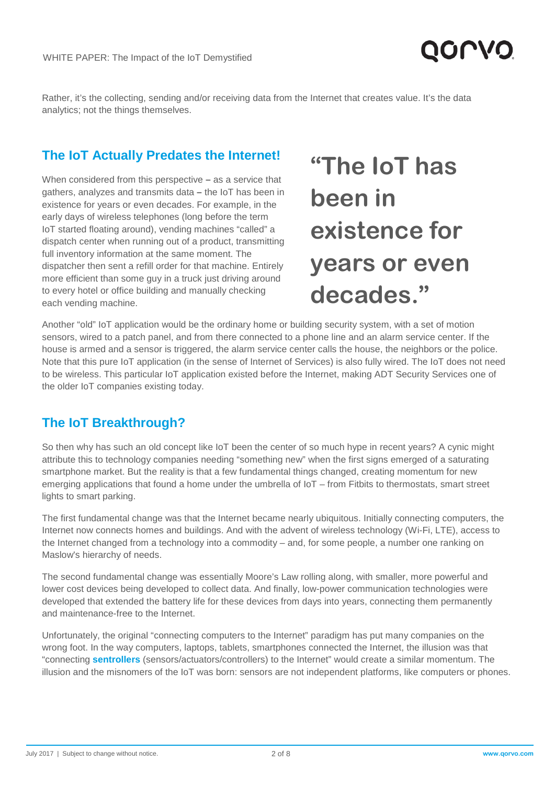

Rather, it's the collecting, sending and/or receiving data from the Internet that creates value. It's the data analytics; not the things themselves.

#### **The IoT Actually Predates the Internet!**

When considered from this perspective **–** as a service that gathers, analyzes and transmits data **–** the IoT has been in existence for years or even decades. For example, in the early days of wireless telephones (long before the term IoT started floating around), vending machines "called" a dispatch center when running out of a product, transmitting full inventory information at the same moment. The dispatcher then sent a refill order for that machine. Entirely more efficient than some guy in a truck just driving around to every hotel or office building and manually checking each vending machine.

**"The IoT has been in existence for years or even decades."**

Another "old" IoT application would be the ordinary home or building security system, with a set of motion sensors, wired to a patch panel, and from there connected to a phone line and an alarm service center. If the house is armed and a sensor is triggered, the alarm service center calls the house, the neighbors or the police. Note that this pure IoT application (in the sense of Internet of Services) is also fully wired. The IoT does not need to be wireless. This particular IoT application existed before the Internet, making ADT Security Services one of the older IoT companies existing today.

## **The IoT Breakthrough?**

So then why has such an old concept like IoT been the center of so much hype in recent years? A cynic might attribute this to technology companies needing "something new" when the first signs emerged of a saturating smartphone market. But the reality is that a few fundamental things changed, creating momentum for new emerging applications that found a home under the umbrella of IoT – from Fitbits to thermostats, smart street lights to smart parking.

The first fundamental change was that the Internet became nearly ubiquitous. Initially connecting computers, the Internet now connects homes and buildings. And with the advent of wireless technology (Wi-Fi, LTE), access to the Internet changed from a technology into a commodity – and, for some people, a number one ranking on Maslow's hierarchy of needs.

The second fundamental change was essentially Moore's Law rolling along, with smaller, more powerful and lower cost devices being developed to collect data. And finally, low-power communication technologies were developed that extended the battery life for these devices from days into years, connecting them permanently and maintenance-free to the Internet.

Unfortunately, the original "connecting computers to the Internet" paradigm has put many companies on the wrong foot. In the way computers, laptops, tablets, smartphones connected the Internet, the illusion was that "connecting **[sentrollers](https://en.wikipedia.org/wiki/Sentroller)** (sensors/actuators/controllers) to the Internet" would create a similar momentum. The illusion and the misnomers of the IoT was born: sensors are not independent platforms, like computers or phones.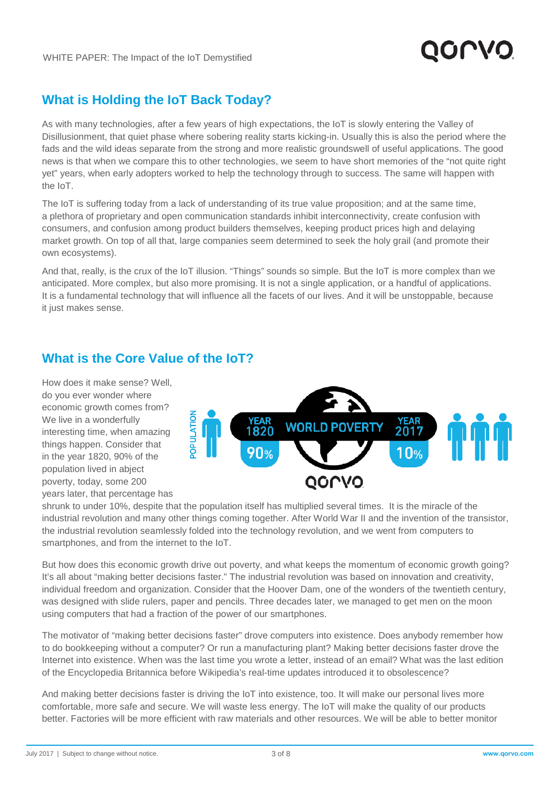

# **What is Holding the IoT Back Today?**

As with many technologies, after a few years of high expectations, the IoT is slowly entering the Valley of Disillusionment, that quiet phase where sobering reality starts kicking-in. Usually this is also the period where the fads and the wild ideas separate from the strong and more realistic groundswell of useful applications. The good news is that when we compare this to other technologies, we seem to have short memories of the "not quite right yet" years, when early adopters worked to help the technology through to success. The same will happen with the IoT.

The IoT is suffering today from a lack of understanding of its true value proposition; and at the same time, a plethora of proprietary and open communication standards inhibit interconnectivity, create confusion with consumers, and confusion among product builders themselves, keeping product prices high and delaying market growth. On top of all that, large companies seem determined to seek the holy grail (and promote their own ecosystems).

And that, really, is the crux of the IoT illusion. "Things" sounds so simple. But the IoT is more complex than we anticipated. More complex, but also more promising. It is not a single application, or a handful of applications. It is a fundamental technology that will influence all the facets of our lives. And it will be unstoppable, because it just makes sense.

## **What is the Core Value of the IoT?**

How does it make sense? Well, do you ever wonder where economic growth comes from? We live in a wonderfully interesting time, when amazing things happen. Consider that in the year 1820, 90% of the population lived in abject poverty, today, some 200 years later, that percentage has



shrunk to under 10%, despite that the population itself has multiplied several times. It is the miracle of the industrial revolution and many other things coming together. After World War II and the invention of the transistor, the industrial revolution seamlessly folded into the technology revolution, and we went from computers to smartphones, and from the internet to the IoT.

But how does this economic growth drive out poverty, and what keeps the momentum of economic growth going? It's all about "making better decisions faster." The industrial revolution was based on innovation and creativity, individual freedom and organization. Consider that the Hoover Dam, one of the wonders of the twentieth century, was designed with slide rulers, paper and pencils. Three decades later, we managed to get men on the moon using computers that had a fraction of the power of our smartphones.

The motivator of "making better decisions faster" drove computers into existence. Does anybody remember how to do bookkeeping without a computer? Or run a manufacturing plant? Making better decisions faster drove the Internet into existence. When was the last time you wrote a letter, instead of an email? What was the last edition of the Encyclopedia Britannica before Wikipedia's real-time updates introduced it to obsolescence?

And making better decisions faster is driving the IoT into existence, too. It will make our personal lives more comfortable, more safe and secure. We will waste less energy. The IoT will make the quality of our products better. Factories will be more efficient with raw materials and other resources. We will be able to better monitor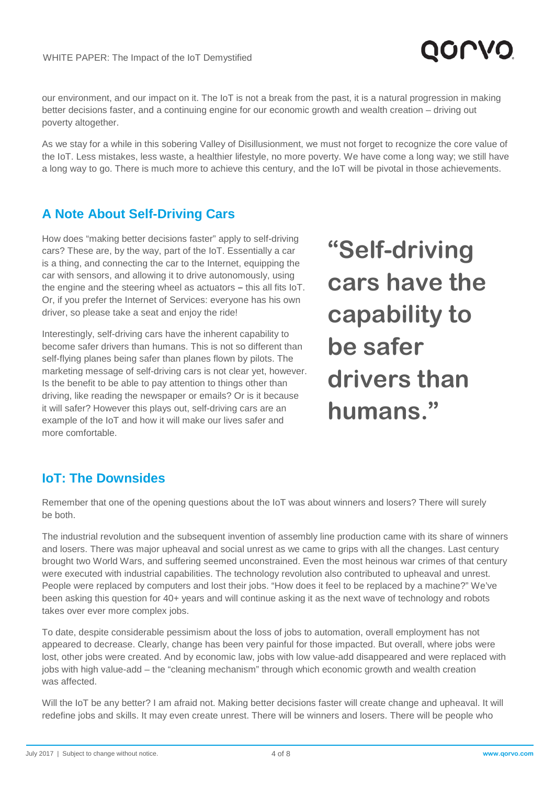

our environment, and our impact on it. The IoT is not a break from the past, it is a natural progression in making better decisions faster, and a continuing engine for our economic growth and wealth creation – driving out poverty altogether.

As we stay for a while in this sobering Valley of Disillusionment, we must not forget to recognize the core value of the IoT. Less mistakes, less waste, a healthier lifestyle, no more poverty. We have come a long way; we still have a long way to go. There is much more to achieve this century, and the IoT will be pivotal in those achievements.

# **A Note About Self-Driving Cars**

How does "making better decisions faster" apply to self-driving cars? These are, by the way, part of the IoT. Essentially a car is a thing, and connecting the car to the Internet, equipping the car with sensors, and allowing it to drive autonomously, using the engine and the steering wheel as actuators **–** this all fits IoT. Or, if you prefer the Internet of Services: everyone has his own driver, so please take a seat and enjoy the ride!

Interestingly, self-driving cars have the inherent capability to become safer drivers than humans. This is not so different than self-flying planes being safer than planes flown by pilots. The marketing message of self-driving cars is not clear yet, however. Is the benefit to be able to pay attention to things other than driving, like reading the newspaper or emails? Or is it because it will safer? However this plays out, self-driving cars are an example of the IoT and how it will make our lives safer and more comfortable.

**"Self-driving cars have the capability to be safer drivers than humans."**

# **IoT: The Downsides**

Remember that one of the opening questions about the IoT was about winners and losers? There will surely be both.

The industrial revolution and the subsequent invention of assembly line production came with its share of winners and losers. There was major upheaval and social unrest as we came to grips with all the changes. Last century brought two World Wars, and suffering seemed unconstrained. Even the most heinous war crimes of that century were executed with industrial capabilities. The technology revolution also contributed to upheaval and unrest. People were replaced by computers and lost their jobs. "How does it feel to be replaced by a machine?" We've been asking this question for 40+ years and will continue asking it as the next wave of technology and robots takes over ever more complex jobs.

To date, despite considerable pessimism about the loss of jobs to automation, overall employment has not appeared to decrease. Clearly, change has been very painful for those impacted. But overall, where jobs were lost, other jobs were created. And by economic law, jobs with low value-add disappeared and were replaced with jobs with high value-add – the "cleaning mechanism" through which economic growth and wealth creation was affected.

Will the IoT be any better? I am afraid not. Making better decisions faster will create change and upheaval. It will redefine jobs and skills. It may even create unrest. There will be winners and losers. There will be people who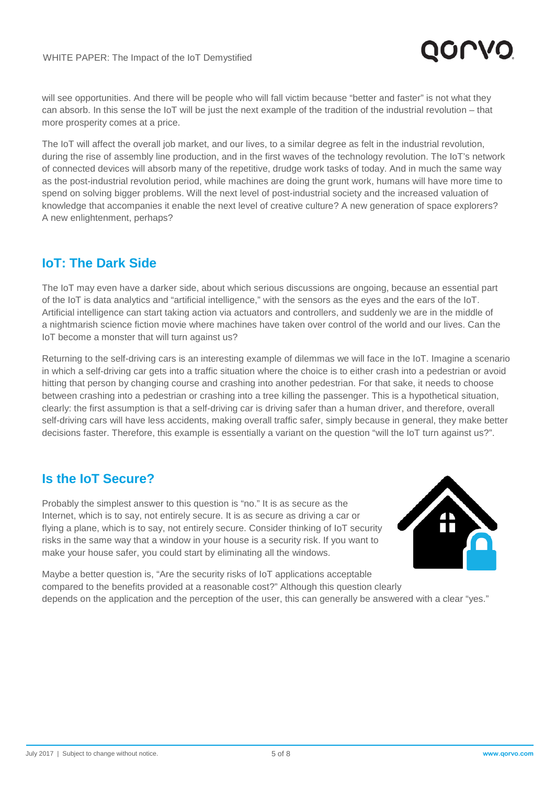

will see opportunities. And there will be people who will fall victim because "better and faster" is not what they can absorb. In this sense the IoT will be just the next example of the tradition of the industrial revolution – that more prosperity comes at a price.

The IoT will affect the overall job market, and our lives, to a similar degree as felt in the industrial revolution, during the rise of assembly line production, and in the first waves of the technology revolution. The IoT's network of connected devices will absorb many of the repetitive, drudge work tasks of today. And in much the same way as the post-industrial revolution period, while machines are doing the grunt work, humans will have more time to spend on solving bigger problems. Will the next level of post-industrial society and the increased valuation of knowledge that accompanies it enable the next level of creative culture? A new generation of space explorers? A new enlightenment, perhaps?

## **IoT: The Dark Side**

The IoT may even have a darker side, about which serious discussions are ongoing, because an essential part of the IoT is data analytics and "artificial intelligence," with the sensors as the eyes and the ears of the IoT. Artificial intelligence can start taking action via actuators and controllers, and suddenly we are in the middle of a nightmarish science fiction movie where machines have taken over control of the world and our lives. Can the IoT become a monster that will turn against us?

Returning to the self-driving cars is an interesting example of dilemmas we will face in the IoT. Imagine a scenario in which a self-driving car gets into a traffic situation where the choice is to either crash into a pedestrian or avoid hitting that person by changing course and crashing into another pedestrian. For that sake, it needs to choose between crashing into a pedestrian or crashing into a tree killing the passenger. This is a hypothetical situation, clearly: the first assumption is that a self-driving car is driving safer than a human driver, and therefore, overall self-driving cars will have less accidents, making overall traffic safer, simply because in general, they make better decisions faster. Therefore, this example is essentially a variant on the question "will the IoT turn against us?".

## **Is the IoT Secure?**

Probably the simplest answer to this question is "no." It is as secure as the Internet, which is to say, not entirely secure. It is as secure as driving a car or flying a plane, which is to say, not entirely secure. Consider thinking of IoT security risks in the same way that a window in your house is a security risk. If you want to make your house safer, you could start by eliminating all the windows.



Maybe a better question is, "Are the security risks of IoT applications acceptable compared to the benefits provided at a reasonable cost?" Although this question clearly depends on the application and the perception of the user, this can generally be answered with a clear "yes."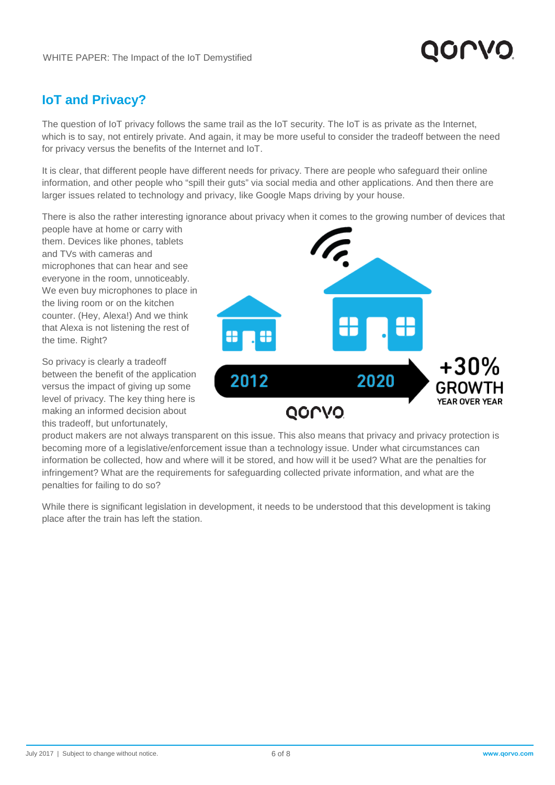

## **IoT and Privacy?**

The question of IoT privacy follows the same trail as the IoT security. The IoT is as private as the Internet, which is to say, not entirely private. And again, it may be more useful to consider the tradeoff between the need for privacy versus the benefits of the Internet and IoT.

It is clear, that different people have different needs for privacy. There are people who safeguard their online information, and other people who "spill their guts" via social media and other applications. And then there are larger issues related to technology and privacy, like Google Maps driving by your house.

There is also the rather interesting ignorance about privacy when it comes to the growing number of devices that

people have at home or carry with them. Devices like phones, tablets and TVs with cameras and microphones that can hear and see everyone in the room, unnoticeably. We even buy microphones to place in the living room or on the kitchen counter. (Hey, Alexa!) And we think that Alexa is not listening the rest of the time. Right?

So privacy is clearly a tradeoff between the benefit of the application versus the impact of giving up some level of privacy. The key thing here is making an informed decision about this tradeoff, but unfortunately,



product makers are not always transparent on this issue. This also means that privacy and privacy protection is becoming more of a legislative/enforcement issue than a technology issue. Under what circumstances can information be collected, how and where will it be stored, and how will it be used? What are the penalties for infringement? What are the requirements for safeguarding collected private information, and what are the penalties for failing to do so?

While there is significant legislation in development, it needs to be understood that this development is taking place after the train has left the station.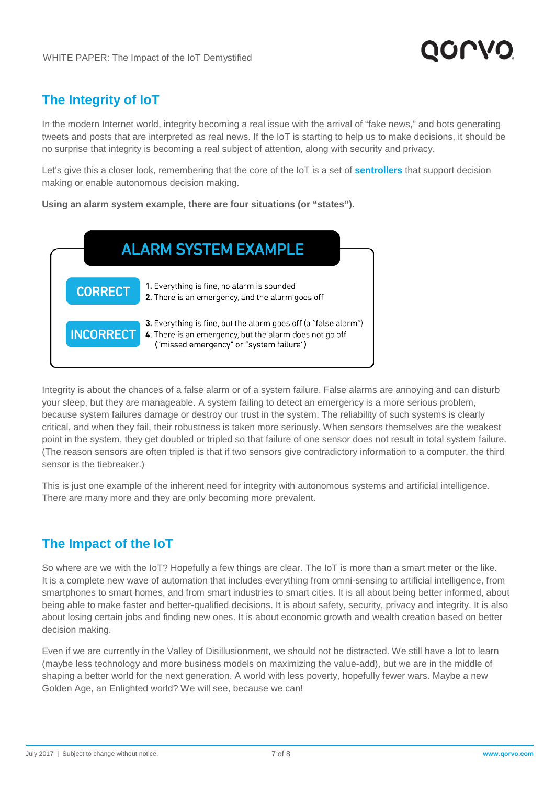# **The Integrity of IoT**

In the modern Internet world, integrity becoming a real issue with the arrival of "fake news," and bots generating tweets and posts that are interpreted as real news. If the IoT is starting to help us to make decisions, it should be no surprise that integrity is becoming a real subject of attention, along with security and privacy.

Let's give this a closer look, remembering that the core of the IoT is a set of **[sentrollers](https://en.wikipedia.org/wiki/Sentroller)** that support decision making or enable autonomous decision making.

**Using an alarm system example, there are four situations (or "states").**



Integrity is about the chances of a false alarm or of a system failure. False alarms are annoying and can disturb your sleep, but they are manageable. A system failing to detect an emergency is a more serious problem, because system failures damage or destroy our trust in the system. The reliability of such systems is clearly critical, and when they fail, their robustness is taken more seriously. When sensors themselves are the weakest point in the system, they get doubled or tripled so that failure of one sensor does not result in total system failure. (The reason sensors are often tripled is that if two sensors give contradictory information to a computer, the third sensor is the tiebreaker.)

This is just one example of the inherent need for integrity with autonomous systems and artificial intelligence. There are many more and they are only becoming more prevalent.

# **The Impact of the IoT**

So where are we with the IoT? Hopefully a few things are clear. The IoT is more than a smart meter or the like. It is a complete new wave of automation that includes everything from omni-sensing to artificial intelligence, from smartphones to smart homes, and from smart industries to smart cities. It is all about being better informed, about being able to make faster and better-qualified decisions. It is about safety, security, privacy and integrity. It is also about losing certain jobs and finding new ones. It is about economic growth and wealth creation based on better decision making.

Even if we are currently in the Valley of Disillusionment, we should not be distracted. We still have a lot to learn (maybe less technology and more business models on maximizing the value-add), but we are in the middle of shaping a better world for the next generation. A world with less poverty, hopefully fewer wars. Maybe a new Golden Age, an Enlighted world? We will see, because we can!